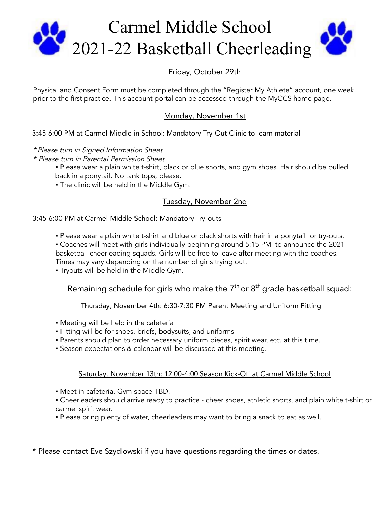

# Friday, October 29th

Physical and Consent Form must be completed through the "Register My Athlete" account, one week prior to the first practice. This account portal can be accessed through the MyCCS home page.

## Monday, November 1st

## 3:45-6:00 PM at Carmel Middle in School: Mandatory Try-Out Clinic to learn material

- \*Please turn in Signed Information Sheet
- \* Please turn in Parental Permission Sheet
	- . Please wear a plain white t-shirt, black or blue shorts, and gym shoes. Hair should be pulled back in a ponytail. No tank tops, please.
	- The clinic will be held in the Middle Gym.

## Tuesday, November 2nd

### 3:45-6:00 PM at Carmel Middle School: Mandatory Try-outs

- . Please wear a plain white t-shirt and blue or black shorts with hair in a ponytail for try-outs.
- Coaches will meet with girls individually beginning around 5:15 PM to announce the 2021 basketball cheerleading squads. Girls will be free to leave after meeting with the coaches. Times may vary depending on the number of girls trying out.
- **Tryouts will be held in the Middle Gym.**

## Remaining schedule for girls who make the  $7^{\rm th}$  or  $8^{\rm th}$  grade basketball squad:

### Thursday, November 4th: 6:30-7:30 PM Parent Meeting and Uniform Fitting

- **Meeting will be held in the cafeteria**
- Fitting will be for shoes, briefs, bodysuits, and uniforms
- Parents should plan to order necessary uniform pieces, spirit wear, etc. at this time.
- Season expectations & calendar will be discussed at this meeting.

### Saturday, November 13th: 12:00-4:00 Season Kick-Off at Carmel Middle School

- Meet in cafeteria. Gym space TBD.
- Cheerleaders should arrive ready to practice cheer shoes, athletic shorts, and plain white t-shirt or carmel spirit wear.
- . Please bring plenty of water, cheerleaders may want to bring a snack to eat as well.

\* Please contact Eve Szydlowski if you have questions regarding the times or dates.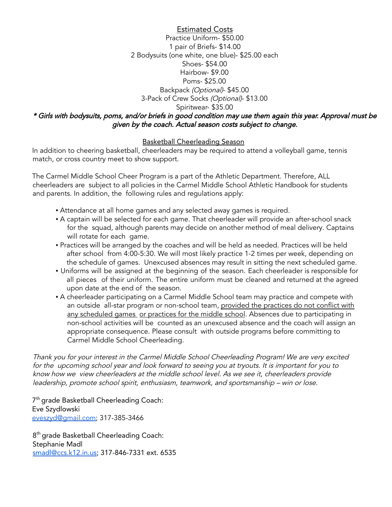Estimated Costs Practice Uniform- \$50.00 1 pair of Briefs- \$14.00 2 Bodysuits (one white, one blue)- \$25.00 each Shoes- \$54.00 Hairbow- \$9.00 Poms- \$25.00 Backpack (Optional)- \$45.00 3-Pack of Crew Socks (Optional)- \$13.00 Spiritwear- \$35.00 \* Girls with bodysuits, poms, and/or briefs in good condition may use them again this year. Approval must be given by the coach. Actual season costs subject to change.

### Basketball Cheerleading Season

In addition to cheering basketball, cheerleaders may be required to attend a volleyball game, tennis match, or cross country meet to show support.

The Carmel Middle School Cheer Program is a part of the Athletic Department. Therefore, ALL cheerleaders are subject to all policies in the Carmel Middle School Athletic Handbook for students and parents. In addition, the following rules and regulations apply:

- **Attendance at all home games and any selected away games is required.**
- A captain will be selected for each game. That cheerleader will provide an after-school snack for the squad, although parents may decide on another method of meal delivery. Captains will rotate for each game.
- Practices will be arranged by the coaches and will be held as needed. Practices will be held after school from 4:00-5:30. We will most likely practice 1-2 times per week, depending on the schedule of games. Unexcused absences may result in sitting the next scheduled game.
- Uniforms will be assigned at the beginning of the season. Each cheerleader is responsible for all pieces of their uniform. The entire uniform must be cleaned and returned at the agreed upon date at the end of the season.
- A cheerleader participating on a Carmel Middle School team may practice and compete with an outside all-star program or non-school team, provided the practices do not conflict with any scheduled games or practices for the middle school. Absences due to participating in non-school activities will be counted as an unexcused absence and the coach will assign an appropriate consequence. Please consult with outside programs before committing to Carmel Middle School Cheerleading.

Thank you for your interest in the Carmel Middle School Cheerleading Program! We are very excited for the upcoming school year and look forward to seeing you at tryouts. It is important for you to know how we view cheerleaders at the middle school level. As we see it, cheerleaders provide leadership, promote school spirit, enthusiasm, teamwork, and sportsmanship – win or lose.

7<sup>th</sup> grade Basketball Cheerleading Coach: Eve Szydlowski [eveszyd@gmail.com;](mailto:eveszyd@gmail.com) 317-385-3466

8<sup>th</sup> grade Basketball Cheerleading Coach: Stephanie Madl [smadl@ccs.k12.in.us](mailto:smadl@ccs.k12.in.us); 317-846-7331 ext. 6535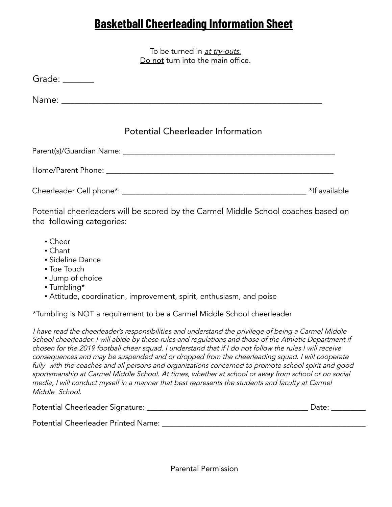# **Basketball Cheerleading Information Sheet**

To be turned in at try-outs. Do not turn into the main office.

| Grade: $\frac{1}{\sqrt{1-\frac{1}{2}}\cdot\frac{1}{2}}$ |                                          |               |
|---------------------------------------------------------|------------------------------------------|---------------|
|                                                         |                                          |               |
|                                                         | <b>Potential Cheerleader Information</b> |               |
|                                                         |                                          |               |
|                                                         |                                          |               |
|                                                         |                                          | *If available |

Potential cheerleaders will be scored by the Carmel Middle School coaches based on the following categories:

- Cheer
- Chant
- Sideline Dance
- Toe Touch
- **Jump of choice**
- Tumbling\*
- Attitude, coordination, improvement, spirit, enthusiasm, and poise

\*Tumbling is NOT a requirement to be a Carmel Middle School cheerleader

<sup>I</sup> have read the cheerleader's responsibilities and understand the privilege of being <sup>a</sup> Carmel Middle School cheerleader. <sup>I</sup> will abide by these rules and regulations and those of the Athletic Department if chosen for the <sup>2019</sup> football cheer squad. <sup>I</sup> understand that if <sup>I</sup> do not follow the rules <sup>I</sup> will receive consequences and may be suspended and or dropped from the cheerleading squad. <sup>I</sup> will cooperate fully with the coaches and all persons and organizations concerned to promote school spirit and good sportsmanship at Carmel Middle School. At times, whether at school or away from school or on social media, <sup>I</sup> will conduct myself in <sup>a</sup> manner that best represents the students and faculty at Carmel Middle School.

| Potential Cheerleader Signature: |  |  |
|----------------------------------|--|--|
|----------------------------------|--|--|

Potential Cheerleader Printed Name: \_\_\_\_\_\_\_\_\_\_\_\_\_\_\_\_\_\_\_\_\_\_\_\_\_\_\_\_\_\_\_\_\_\_\_\_\_\_\_\_\_\_\_\_\_\_\_\_\_\_\_\_\_